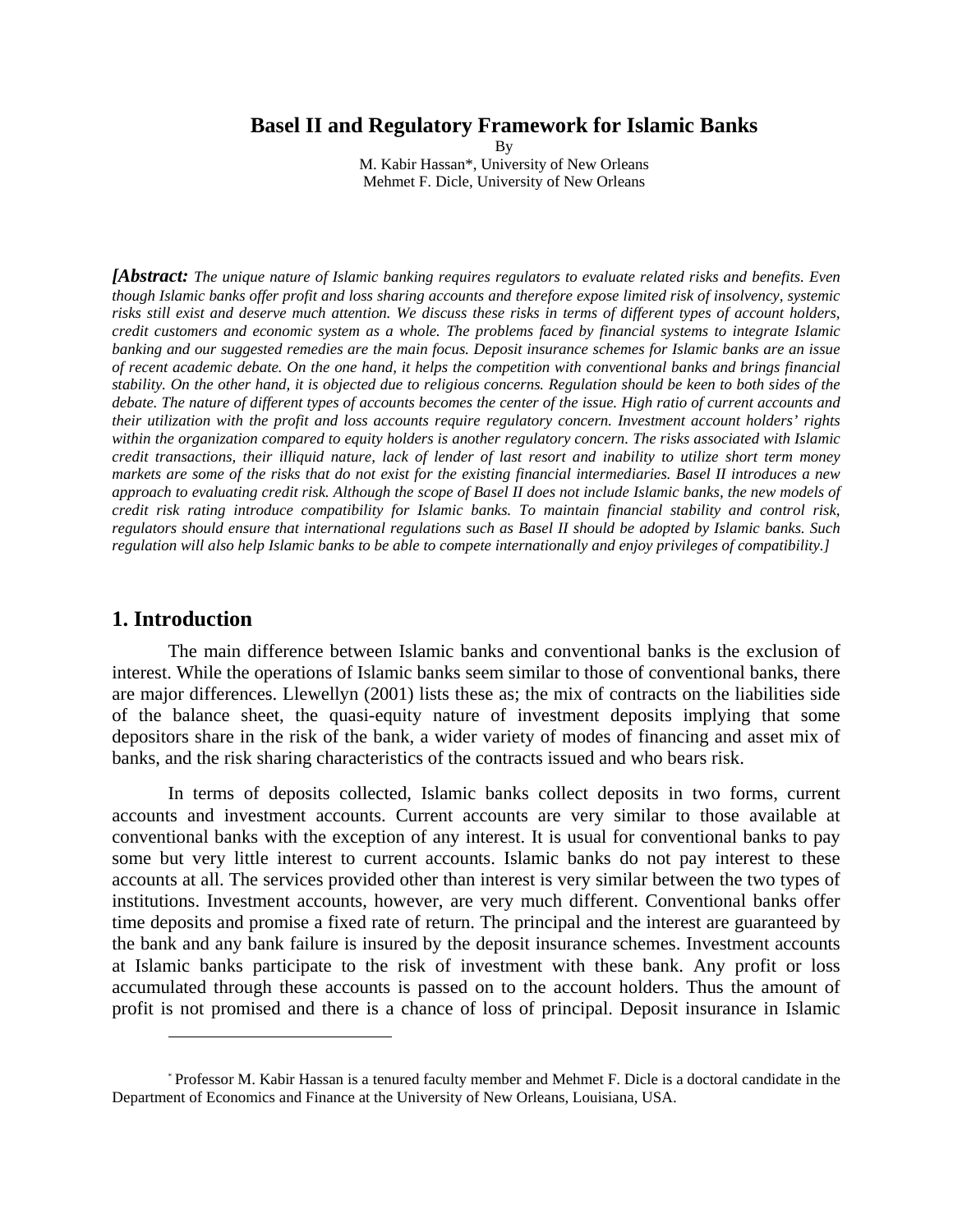### **Basel II and Regulatory Framework for Islamic Banks**

By M. Kabir Hassan\*, University of New Orleans Mehmet F. Dicle, University of New Orleans

*[Abstract: The unique nature of Islamic banking requires regulators to evaluate related risks and benefits. Even though Islamic banks offer profit and loss sharing accounts and therefore expose limited risk of insolvency, systemic risks still exist and deserve much attention. We discuss these risks in terms of different types of account holders, credit customers and economic system as a whole. The problems faced by financial systems to integrate Islamic banking and our suggested remedies are the main focus. Deposit insurance schemes for Islamic banks are an issue of recent academic debate. On the one hand, it helps the competition with conventional banks and brings financial stability. On the other hand, it is objected due to religious concerns. Regulation should be keen to both sides of the debate. The nature of different types of accounts becomes the center of the issue. High ratio of current accounts and their utilization with the profit and loss accounts require regulatory concern. Investment account holders' rights within the organization compared to equity holders is another regulatory concern. The risks associated with Islamic credit transactions, their illiquid nature, lack of lender of last resort and inability to utilize short term money markets are some of the risks that do not exist for the existing financial intermediaries. Basel II introduces a new approach to evaluating credit risk. Although the scope of Basel II does not include Islamic banks, the new models of credit risk rating introduce compatibility for Islamic banks. To maintain financial stability and control risk, regulators should ensure that international regulations such as Basel II should be adopted by Islamic banks. Such regulation will also help Islamic banks to be able to compete internationally and enjoy privileges of compatibility.]* 

# **1. Introduction**

<u>.</u>

The main difference between Islamic banks and conventional banks is the exclusion of interest. While the operations of Islamic banks seem similar to those of conventional banks, there are major differences. Llewellyn (2001) lists these as; the mix of contracts on the liabilities side of the balance sheet, the quasi-equity nature of investment deposits implying that some depositors share in the risk of the bank, a wider variety of modes of financing and asset mix of banks, and the risk sharing characteristics of the contracts issued and who bears risk.

In terms of deposits collected, Islamic banks collect deposits in two forms, current accounts and investment accounts. Current accounts are very similar to those available at conventional banks with the exception of any interest. It is usual for conventional banks to pay some but very little interest to current accounts. Islamic banks do not pay interest to these accounts at all. The services provided other than interest is very similar between the two types of institutions. Investment accounts, however, are very much different. Conventional banks offer time deposits and promise a fixed rate of return. The principal and the interest are guaranteed by the bank and any bank failure is insured by the deposit insurance schemes. Investment accounts at Islamic banks participate to the risk of investment with these bank. Any profit or loss accumulated through these accounts is passed on to the account holders. Thus the amount of profit is not promised and there is a chance of loss of principal. Deposit insurance in Islamic

<sup>\*</sup> Professor M. Kabir Hassan is a tenured faculty member and Mehmet F. Dicle is a doctoral candidate in the Department of Economics and Finance at the University of New Orleans, Louisiana, USA.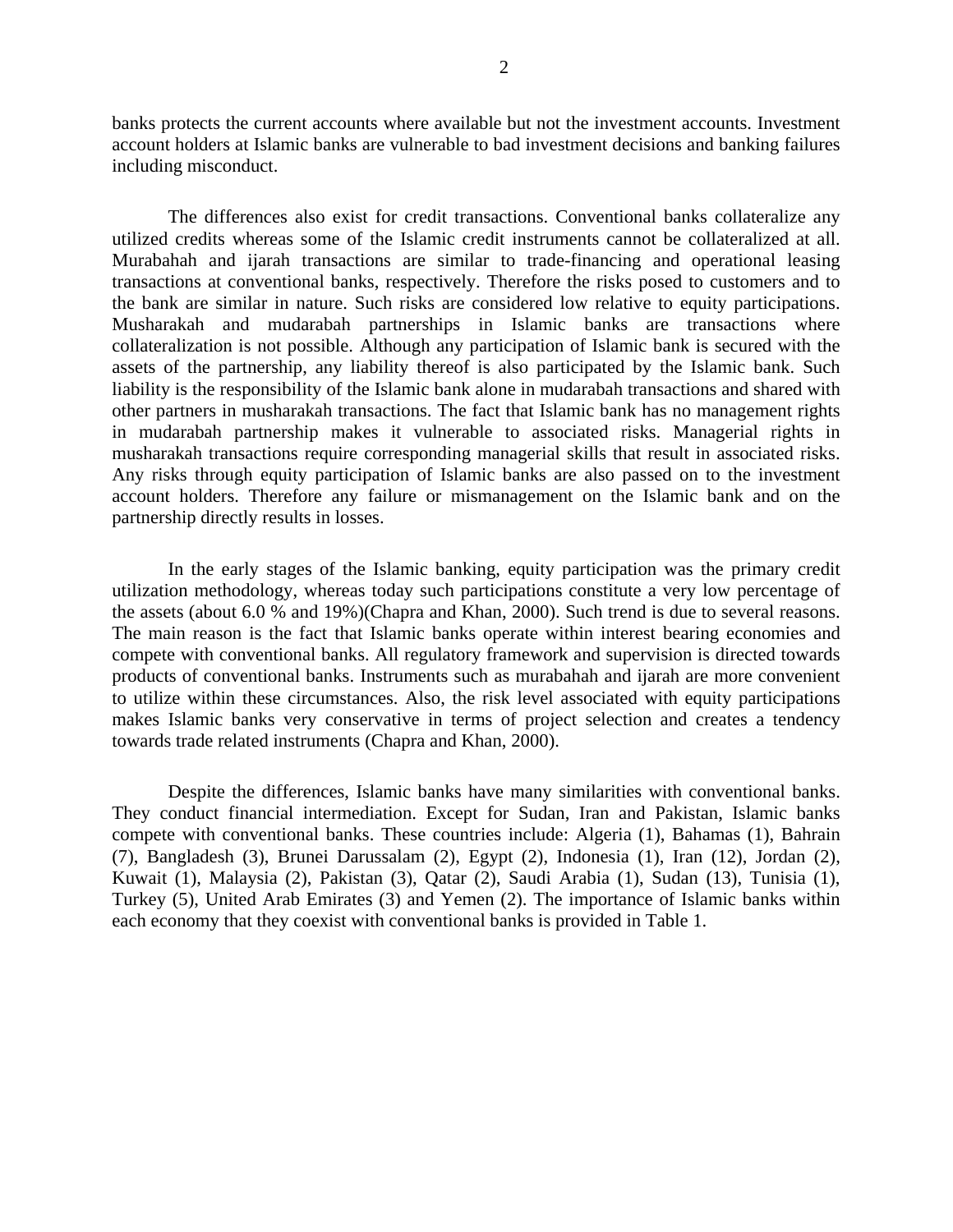banks protects the current accounts where available but not the investment accounts. Investment account holders at Islamic banks are vulnerable to bad investment decisions and banking failures including misconduct.

The differences also exist for credit transactions. Conventional banks collateralize any utilized credits whereas some of the Islamic credit instruments cannot be collateralized at all. Murabahah and ijarah transactions are similar to trade-financing and operational leasing transactions at conventional banks, respectively. Therefore the risks posed to customers and to the bank are similar in nature. Such risks are considered low relative to equity participations. Musharakah and mudarabah partnerships in Islamic banks are transactions where collateralization is not possible. Although any participation of Islamic bank is secured with the assets of the partnership, any liability thereof is also participated by the Islamic bank. Such liability is the responsibility of the Islamic bank alone in mudarabah transactions and shared with other partners in musharakah transactions. The fact that Islamic bank has no management rights in mudarabah partnership makes it vulnerable to associated risks. Managerial rights in musharakah transactions require corresponding managerial skills that result in associated risks. Any risks through equity participation of Islamic banks are also passed on to the investment account holders. Therefore any failure or mismanagement on the Islamic bank and on the partnership directly results in losses.

In the early stages of the Islamic banking, equity participation was the primary credit utilization methodology, whereas today such participations constitute a very low percentage of the assets (about 6.0 % and 19%)(Chapra and Khan, 2000). Such trend is due to several reasons. The main reason is the fact that Islamic banks operate within interest bearing economies and compete with conventional banks. All regulatory framework and supervision is directed towards products of conventional banks. Instruments such as murabahah and ijarah are more convenient to utilize within these circumstances. Also, the risk level associated with equity participations makes Islamic banks very conservative in terms of project selection and creates a tendency towards trade related instruments (Chapra and Khan, 2000).

Despite the differences, Islamic banks have many similarities with conventional banks. They conduct financial intermediation. Except for Sudan, Iran and Pakistan, Islamic banks compete with conventional banks. These countries include: Algeria (1), Bahamas (1), Bahrain (7), Bangladesh (3), Brunei Darussalam (2), Egypt (2), Indonesia (1), Iran (12), Jordan (2), Kuwait (1), Malaysia (2), Pakistan (3), Qatar (2), Saudi Arabia (1), Sudan (13), Tunisia (1), Turkey (5), United Arab Emirates (3) and Yemen (2). The importance of Islamic banks within each economy that they coexist with conventional banks is provided in Table 1.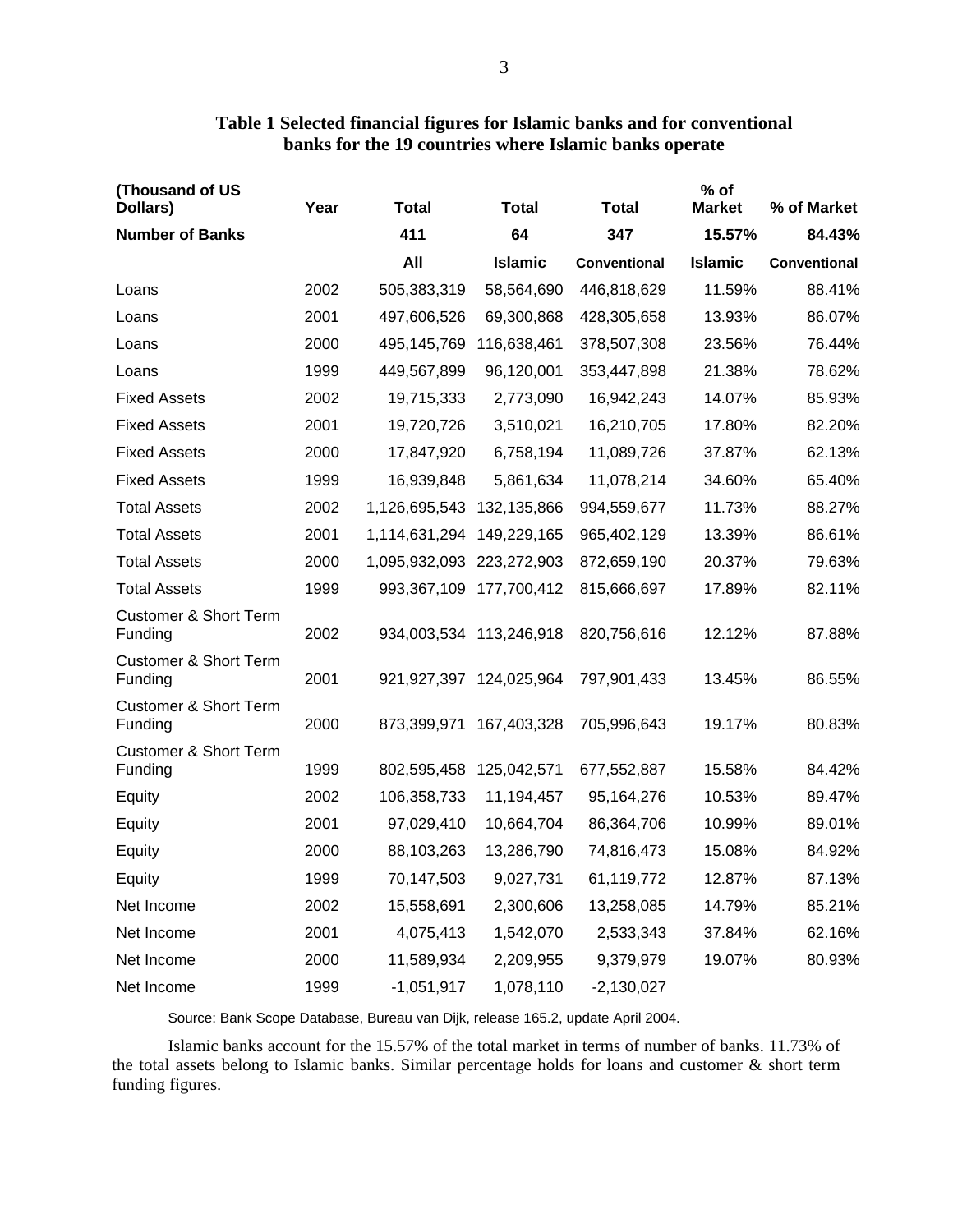| (Thousand of US<br>Dollars)                 | Year | <b>Total</b>              | <b>Total</b>                | <b>Total</b> | $%$ of<br><b>Market</b> | % of Market  |
|---------------------------------------------|------|---------------------------|-----------------------------|--------------|-------------------------|--------------|
| <b>Number of Banks</b>                      |      | 411                       | 64                          | 347          | 15.57%                  | 84.43%       |
|                                             |      | All                       | <b>Islamic</b>              | Conventional | <b>Islamic</b>          | Conventional |
| Loans                                       | 2002 | 505,383,319               | 58,564,690                  | 446,818,629  | 11.59%                  | 88.41%       |
| Loans                                       | 2001 | 497,606,526               | 69,300,868                  | 428,305,658  | 13.93%                  | 86.07%       |
| Loans                                       | 2000 | 495,145,769               | 116,638,461                 | 378,507,308  | 23.56%                  | 76.44%       |
| Loans                                       | 1999 | 449,567,899               | 96,120,001                  | 353,447,898  | 21.38%                  | 78.62%       |
| <b>Fixed Assets</b>                         | 2002 | 19,715,333                | 2,773,090                   | 16,942,243   | 14.07%                  | 85.93%       |
| <b>Fixed Assets</b>                         | 2001 | 19,720,726                | 3,510,021                   | 16,210,705   | 17.80%                  | 82.20%       |
| <b>Fixed Assets</b>                         | 2000 | 17,847,920                | 6,758,194                   | 11,089,726   | 37.87%                  | 62.13%       |
| <b>Fixed Assets</b>                         | 1999 | 16,939,848                | 5,861,634                   | 11,078,214   | 34.60%                  | 65.40%       |
| <b>Total Assets</b>                         | 2002 | 1,126,695,543             | 132,135,866                 | 994,559,677  | 11.73%                  | 88.27%       |
| <b>Total Assets</b>                         | 2001 | 1,114,631,294             | 149,229,165                 | 965,402,129  | 13.39%                  | 86.61%       |
| <b>Total Assets</b>                         | 2000 | 1,095,932,093 223,272,903 |                             | 872,659,190  | 20.37%                  | 79.63%       |
| <b>Total Assets</b>                         | 1999 |                           | 993,367,109 177,700,412     | 815,666,697  | 17.89%                  | 82.11%       |
| <b>Customer &amp; Short Term</b><br>Funding | 2002 |                           | 934,003,534 113,246,918     | 820,756,616  | 12.12%                  | 87.88%       |
| <b>Customer &amp; Short Term</b><br>Funding | 2001 |                           | 921, 927, 397 124, 025, 964 | 797,901,433  | 13.45%                  | 86.55%       |
| <b>Customer &amp; Short Term</b><br>Funding | 2000 | 873,399,971               | 167,403,328                 | 705,996,643  | 19.17%                  | 80.83%       |
| <b>Customer &amp; Short Term</b><br>Funding | 1999 | 802,595,458               | 125,042,571                 | 677,552,887  | 15.58%                  | 84.42%       |
| Equity                                      | 2002 | 106,358,733               | 11,194,457                  | 95,164,276   | 10.53%                  | 89.47%       |
| Equity                                      | 2001 | 97,029,410                | 10,664,704                  | 86,364,706   | 10.99%                  | 89.01%       |
| Equity                                      | 2000 | 88,103,263                | 13,286,790                  | 74,816,473   | 15.08%                  | 84.92%       |
| Equity                                      | 1999 | 70,147,503                | 9,027,731                   | 61,119,772   | 12.87%                  | 87.13%       |
| Net Income                                  | 2002 | 15,558,691                | 2,300,606                   | 13,258,085   | 14.79%                  | 85.21%       |
| Net Income                                  | 2001 | 4,075,413                 | 1,542,070                   | 2,533,343    | 37.84%                  | 62.16%       |
| Net Income                                  | 2000 | 11,589,934                | 2,209,955                   | 9,379,979    | 19.07%                  | 80.93%       |
| Net Income                                  | 1999 | $-1,051,917$              | 1,078,110                   | $-2,130,027$ |                         |              |

# **Table 1 Selected financial figures for Islamic banks and for conventional banks for the 19 countries where Islamic banks operate**

Source: Bank Scope Database, Bureau van Dijk, release 165.2, update April 2004.

Islamic banks account for the 15.57% of the total market in terms of number of banks. 11.73% of the total assets belong to Islamic banks. Similar percentage holds for loans and customer & short term funding figures.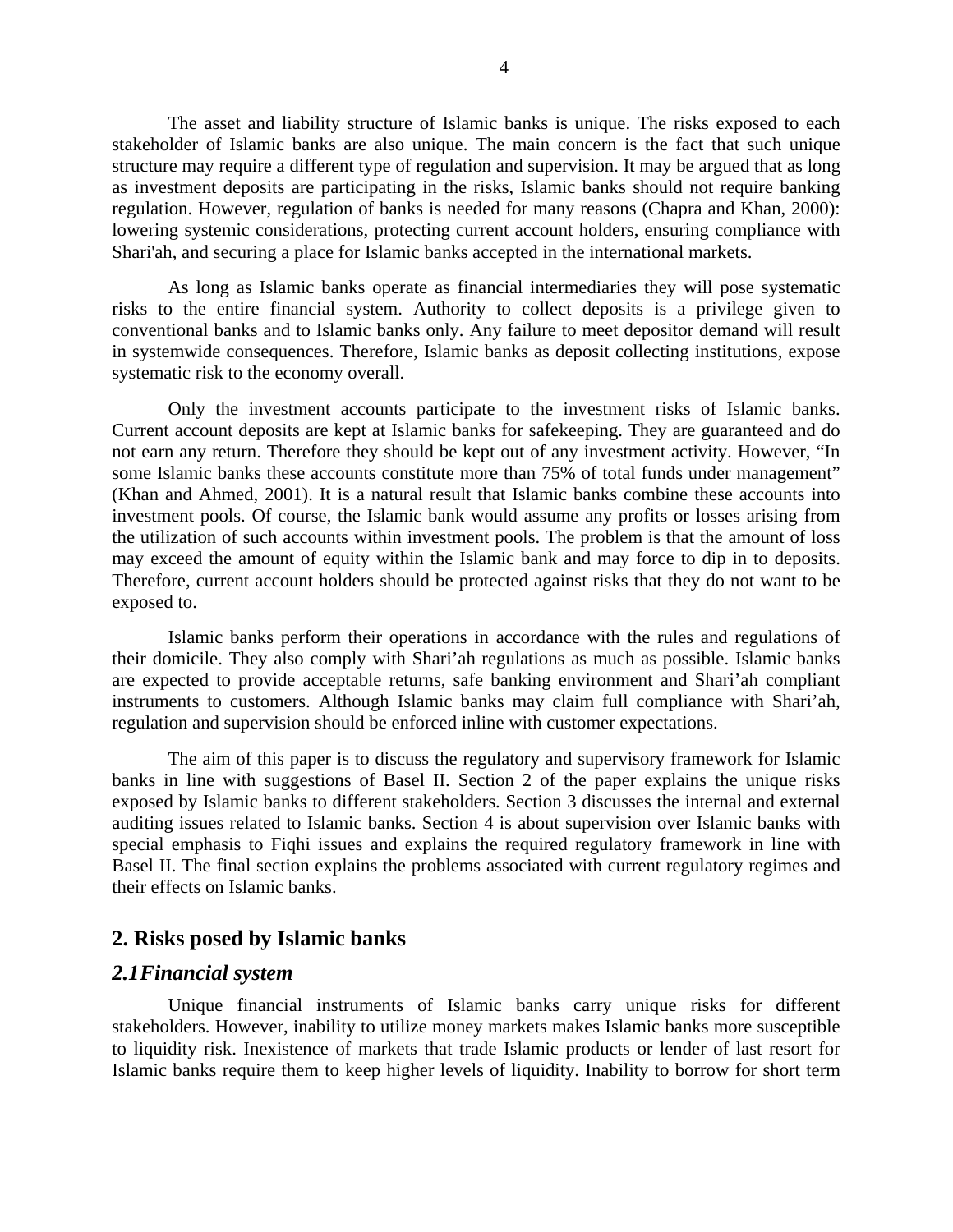The asset and liability structure of Islamic banks is unique. The risks exposed to each stakeholder of Islamic banks are also unique. The main concern is the fact that such unique structure may require a different type of regulation and supervision. It may be argued that as long as investment deposits are participating in the risks, Islamic banks should not require banking regulation. However, regulation of banks is needed for many reasons (Chapra and Khan, 2000): lowering systemic considerations, protecting current account holders, ensuring compliance with Shari'ah, and securing a place for Islamic banks accepted in the international markets.

As long as Islamic banks operate as financial intermediaries they will pose systematic risks to the entire financial system. Authority to collect deposits is a privilege given to conventional banks and to Islamic banks only. Any failure to meet depositor demand will result in systemwide consequences. Therefore, Islamic banks as deposit collecting institutions, expose systematic risk to the economy overall.

Only the investment accounts participate to the investment risks of Islamic banks. Current account deposits are kept at Islamic banks for safekeeping. They are guaranteed and do not earn any return. Therefore they should be kept out of any investment activity. However, "In some Islamic banks these accounts constitute more than 75% of total funds under management" (Khan and Ahmed, 2001). It is a natural result that Islamic banks combine these accounts into investment pools. Of course, the Islamic bank would assume any profits or losses arising from the utilization of such accounts within investment pools. The problem is that the amount of loss may exceed the amount of equity within the Islamic bank and may force to dip in to deposits. Therefore, current account holders should be protected against risks that they do not want to be exposed to.

Islamic banks perform their operations in accordance with the rules and regulations of their domicile. They also comply with Shari'ah regulations as much as possible. Islamic banks are expected to provide acceptable returns, safe banking environment and Shari'ah compliant instruments to customers. Although Islamic banks may claim full compliance with Shari'ah, regulation and supervision should be enforced inline with customer expectations.

The aim of this paper is to discuss the regulatory and supervisory framework for Islamic banks in line with suggestions of Basel II. Section 2 of the paper explains the unique risks exposed by Islamic banks to different stakeholders. Section 3 discusses the internal and external auditing issues related to Islamic banks. Section 4 is about supervision over Islamic banks with special emphasis to Fiqhi issues and explains the required regulatory framework in line with Basel II. The final section explains the problems associated with current regulatory regimes and their effects on Islamic banks.

### **2. Risks posed by Islamic banks**

### *2.1Financial system*

Unique financial instruments of Islamic banks carry unique risks for different stakeholders. However, inability to utilize money markets makes Islamic banks more susceptible to liquidity risk. Inexistence of markets that trade Islamic products or lender of last resort for Islamic banks require them to keep higher levels of liquidity. Inability to borrow for short term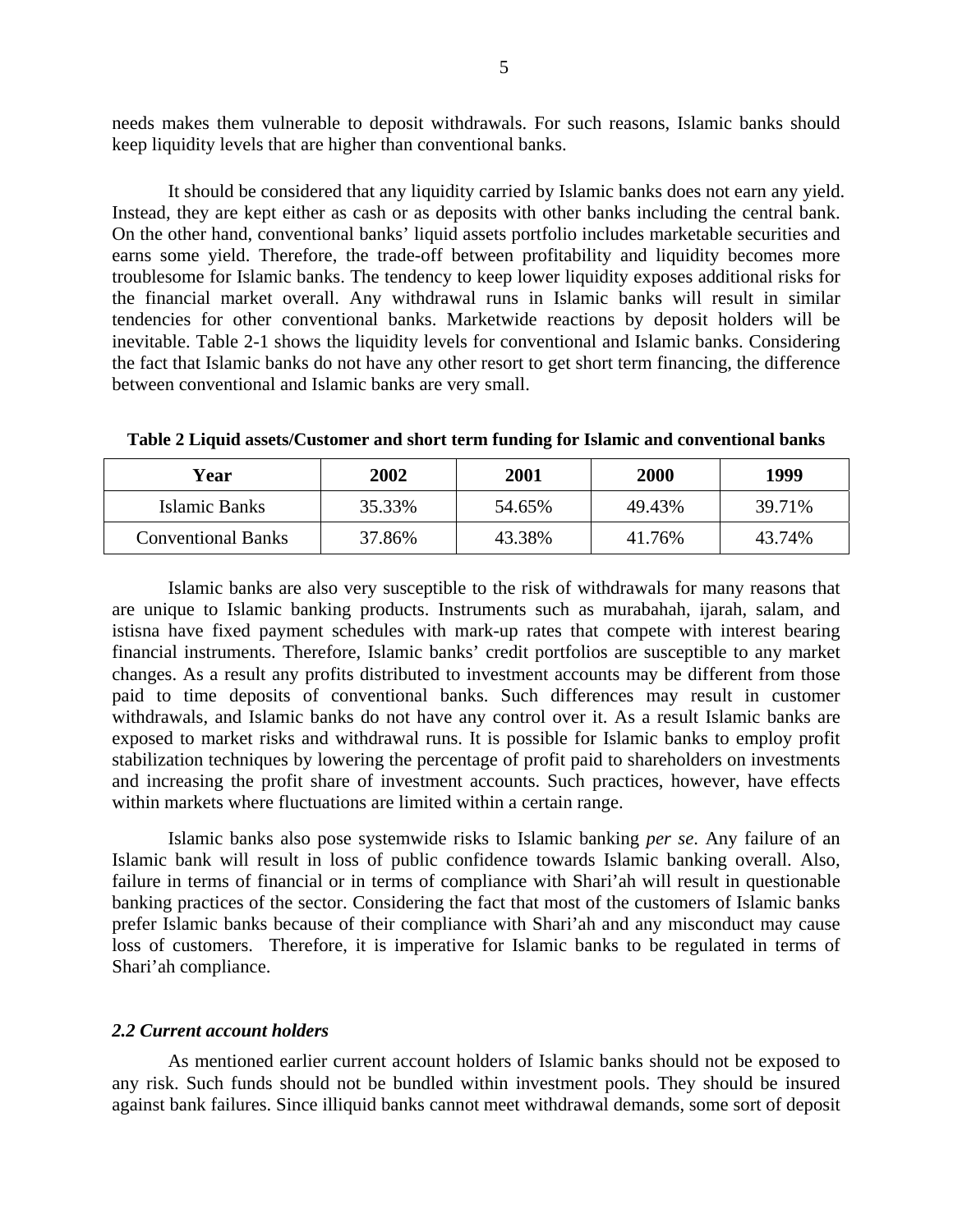needs makes them vulnerable to deposit withdrawals. For such reasons, Islamic banks should keep liquidity levels that are higher than conventional banks.

It should be considered that any liquidity carried by Islamic banks does not earn any yield. Instead, they are kept either as cash or as deposits with other banks including the central bank. On the other hand, conventional banks' liquid assets portfolio includes marketable securities and earns some yield. Therefore, the trade-off between profitability and liquidity becomes more troublesome for Islamic banks. The tendency to keep lower liquidity exposes additional risks for the financial market overall. Any withdrawal runs in Islamic banks will result in similar tendencies for other conventional banks. Marketwide reactions by deposit holders will be inevitable. Table 2-1 shows the liquidity levels for conventional and Islamic banks. Considering the fact that Islamic banks do not have any other resort to get short term financing, the difference between conventional and Islamic banks are very small.

| Year                      | 2002   | 2001   | 2000   | 1999   |
|---------------------------|--------|--------|--------|--------|
| Islamic Banks             | 35.33% | 54.65% | 49.43% | 39.71% |
| <b>Conventional Banks</b> | 37.86% | 43.38% | 41.76% | 43.74% |

**Table 2 Liquid assets/Customer and short term funding for Islamic and conventional banks** 

Islamic banks are also very susceptible to the risk of withdrawals for many reasons that are unique to Islamic banking products. Instruments such as murabahah, ijarah, salam, and istisna have fixed payment schedules with mark-up rates that compete with interest bearing financial instruments. Therefore, Islamic banks' credit portfolios are susceptible to any market changes. As a result any profits distributed to investment accounts may be different from those paid to time deposits of conventional banks. Such differences may result in customer withdrawals, and Islamic banks do not have any control over it. As a result Islamic banks are exposed to market risks and withdrawal runs. It is possible for Islamic banks to employ profit stabilization techniques by lowering the percentage of profit paid to shareholders on investments and increasing the profit share of investment accounts. Such practices, however, have effects within markets where fluctuations are limited within a certain range.

Islamic banks also pose systemwide risks to Islamic banking *per se*. Any failure of an Islamic bank will result in loss of public confidence towards Islamic banking overall. Also, failure in terms of financial or in terms of compliance with Shari'ah will result in questionable banking practices of the sector. Considering the fact that most of the customers of Islamic banks prefer Islamic banks because of their compliance with Shari'ah and any misconduct may cause loss of customers. Therefore, it is imperative for Islamic banks to be regulated in terms of Shari'ah compliance.

#### *2.2 Current account holders*

As mentioned earlier current account holders of Islamic banks should not be exposed to any risk. Such funds should not be bundled within investment pools. They should be insured against bank failures. Since illiquid banks cannot meet withdrawal demands, some sort of deposit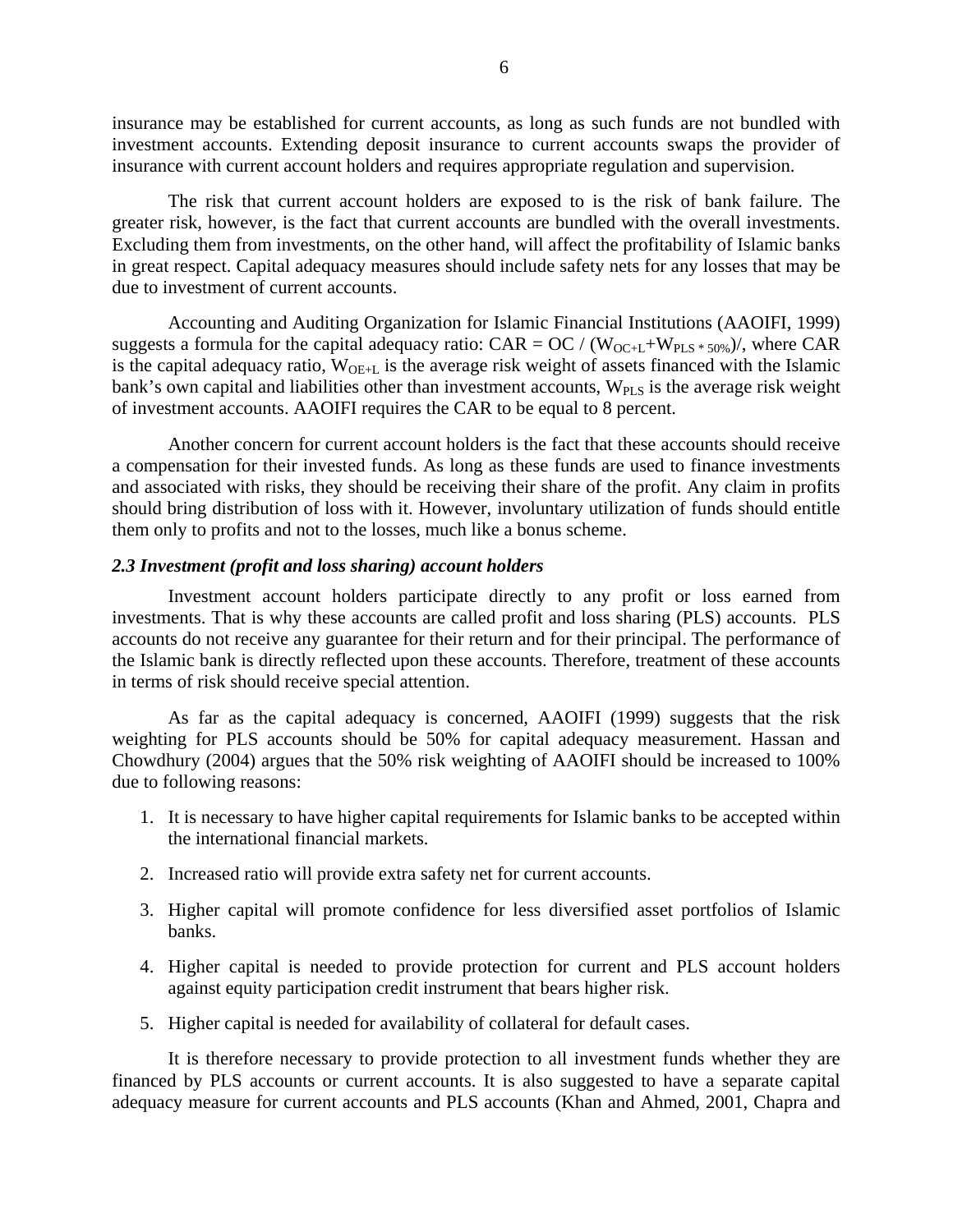insurance may be established for current accounts, as long as such funds are not bundled with investment accounts. Extending deposit insurance to current accounts swaps the provider of insurance with current account holders and requires appropriate regulation and supervision.

The risk that current account holders are exposed to is the risk of bank failure. The greater risk, however, is the fact that current accounts are bundled with the overall investments. Excluding them from investments, on the other hand, will affect the profitability of Islamic banks in great respect. Capital adequacy measures should include safety nets for any losses that may be due to investment of current accounts.

Accounting and Auditing Organization for Islamic Financial Institutions (AAOIFI, 1999) suggests a formula for the capital adequacy ratio:  $CAR = OC / (W_{OC+L} + W_{PLS} * 50\%)$ , where CAR is the capital adequacy ratio,  $W_{OE+L}$  is the average risk weight of assets financed with the Islamic bank's own capital and liabilities other than investment accounts,  $W_{PLS}$  is the average risk weight of investment accounts. AAOIFI requires the CAR to be equal to 8 percent.

Another concern for current account holders is the fact that these accounts should receive a compensation for their invested funds. As long as these funds are used to finance investments and associated with risks, they should be receiving their share of the profit. Any claim in profits should bring distribution of loss with it. However, involuntary utilization of funds should entitle them only to profits and not to the losses, much like a bonus scheme.

#### *2.3 Investment (profit and loss sharing) account holders*

Investment account holders participate directly to any profit or loss earned from investments. That is why these accounts are called profit and loss sharing (PLS) accounts. PLS accounts do not receive any guarantee for their return and for their principal. The performance of the Islamic bank is directly reflected upon these accounts. Therefore, treatment of these accounts in terms of risk should receive special attention.

As far as the capital adequacy is concerned, AAOIFI (1999) suggests that the risk weighting for PLS accounts should be 50% for capital adequacy measurement. Hassan and Chowdhury (2004) argues that the 50% risk weighting of AAOIFI should be increased to 100% due to following reasons:

- 1. It is necessary to have higher capital requirements for Islamic banks to be accepted within the international financial markets.
- 2. Increased ratio will provide extra safety net for current accounts.
- 3. Higher capital will promote confidence for less diversified asset portfolios of Islamic banks.
- 4. Higher capital is needed to provide protection for current and PLS account holders against equity participation credit instrument that bears higher risk.
- 5. Higher capital is needed for availability of collateral for default cases.

It is therefore necessary to provide protection to all investment funds whether they are financed by PLS accounts or current accounts. It is also suggested to have a separate capital adequacy measure for current accounts and PLS accounts (Khan and Ahmed, 2001, Chapra and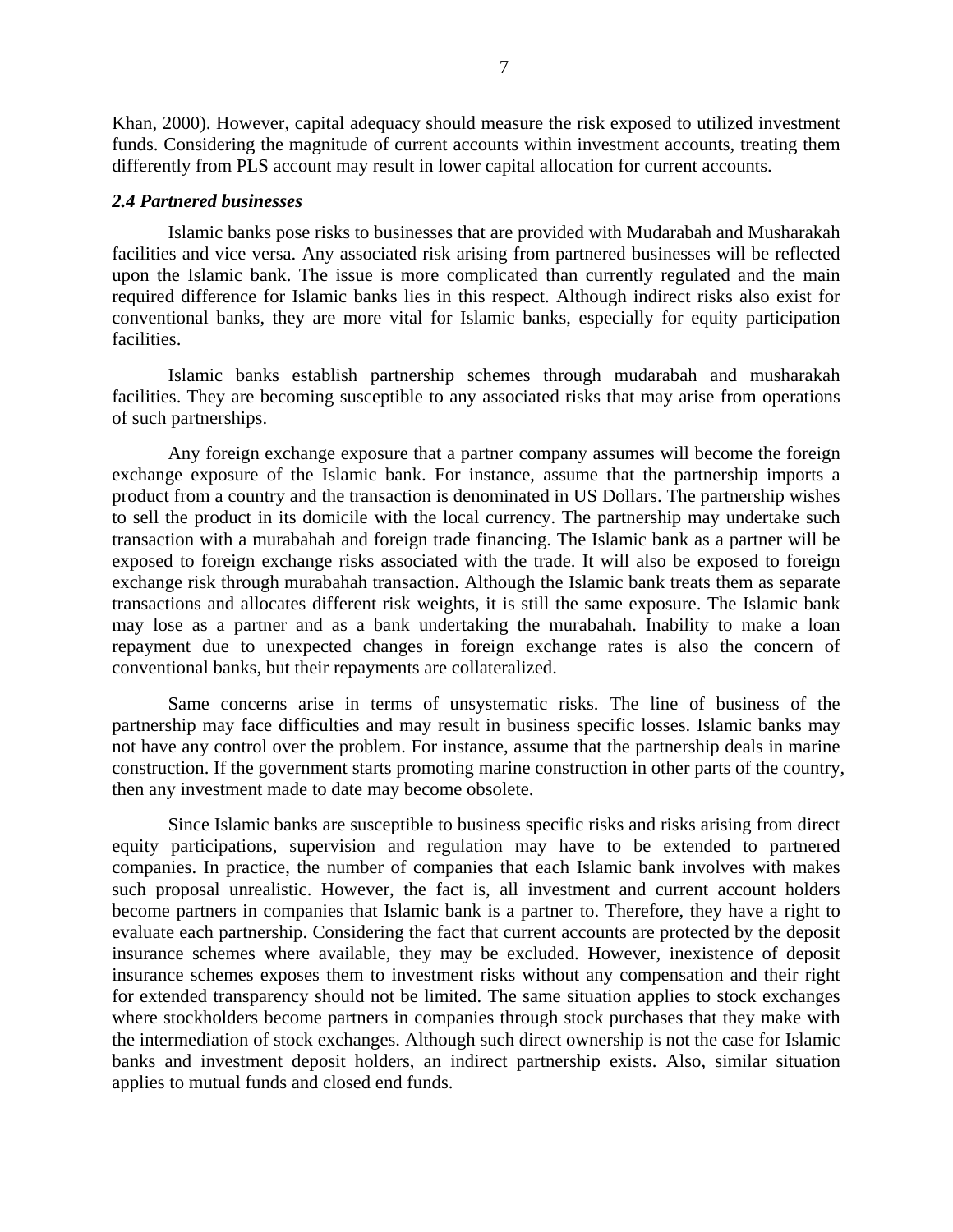Khan, 2000). However, capital adequacy should measure the risk exposed to utilized investment funds. Considering the magnitude of current accounts within investment accounts, treating them differently from PLS account may result in lower capital allocation for current accounts.

#### *2.4 Partnered businesses*

Islamic banks pose risks to businesses that are provided with Mudarabah and Musharakah facilities and vice versa. Any associated risk arising from partnered businesses will be reflected upon the Islamic bank. The issue is more complicated than currently regulated and the main required difference for Islamic banks lies in this respect. Although indirect risks also exist for conventional banks, they are more vital for Islamic banks, especially for equity participation facilities.

Islamic banks establish partnership schemes through mudarabah and musharakah facilities. They are becoming susceptible to any associated risks that may arise from operations of such partnerships.

Any foreign exchange exposure that a partner company assumes will become the foreign exchange exposure of the Islamic bank. For instance, assume that the partnership imports a product from a country and the transaction is denominated in US Dollars. The partnership wishes to sell the product in its domicile with the local currency. The partnership may undertake such transaction with a murabahah and foreign trade financing. The Islamic bank as a partner will be exposed to foreign exchange risks associated with the trade. It will also be exposed to foreign exchange risk through murabahah transaction. Although the Islamic bank treats them as separate transactions and allocates different risk weights, it is still the same exposure. The Islamic bank may lose as a partner and as a bank undertaking the murabahah. Inability to make a loan repayment due to unexpected changes in foreign exchange rates is also the concern of conventional banks, but their repayments are collateralized.

Same concerns arise in terms of unsystematic risks. The line of business of the partnership may face difficulties and may result in business specific losses. Islamic banks may not have any control over the problem. For instance, assume that the partnership deals in marine construction. If the government starts promoting marine construction in other parts of the country, then any investment made to date may become obsolete.

Since Islamic banks are susceptible to business specific risks and risks arising from direct equity participations, supervision and regulation may have to be extended to partnered companies. In practice, the number of companies that each Islamic bank involves with makes such proposal unrealistic. However, the fact is, all investment and current account holders become partners in companies that Islamic bank is a partner to. Therefore, they have a right to evaluate each partnership. Considering the fact that current accounts are protected by the deposit insurance schemes where available, they may be excluded. However, inexistence of deposit insurance schemes exposes them to investment risks without any compensation and their right for extended transparency should not be limited. The same situation applies to stock exchanges where stockholders become partners in companies through stock purchases that they make with the intermediation of stock exchanges. Although such direct ownership is not the case for Islamic banks and investment deposit holders, an indirect partnership exists. Also, similar situation applies to mutual funds and closed end funds.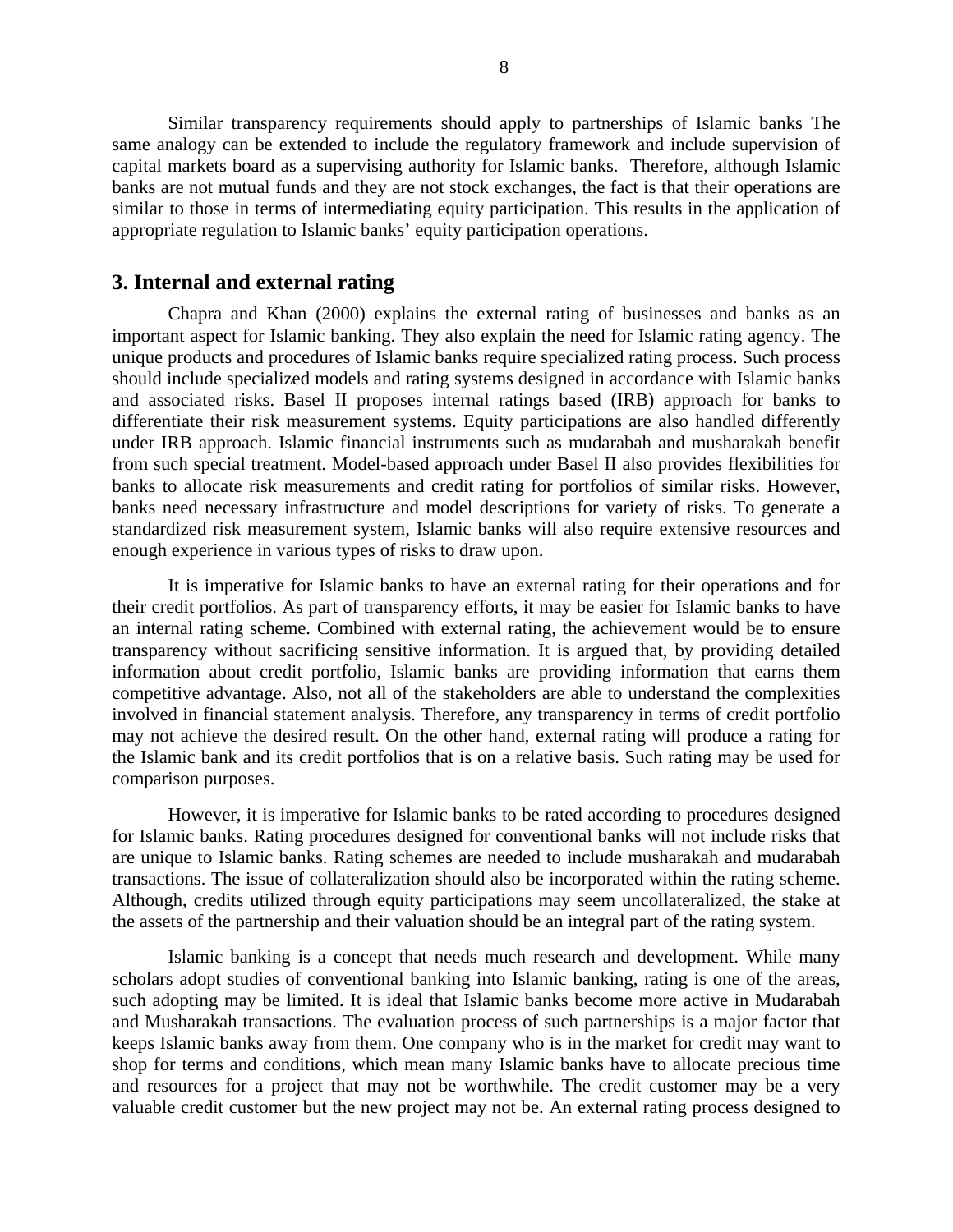Similar transparency requirements should apply to partnerships of Islamic banks The same analogy can be extended to include the regulatory framework and include supervision of capital markets board as a supervising authority for Islamic banks. Therefore, although Islamic banks are not mutual funds and they are not stock exchanges, the fact is that their operations are similar to those in terms of intermediating equity participation. This results in the application of appropriate regulation to Islamic banks' equity participation operations.

### **3. Internal and external rating**

Chapra and Khan (2000) explains the external rating of businesses and banks as an important aspect for Islamic banking. They also explain the need for Islamic rating agency. The unique products and procedures of Islamic banks require specialized rating process. Such process should include specialized models and rating systems designed in accordance with Islamic banks and associated risks. Basel II proposes internal ratings based (IRB) approach for banks to differentiate their risk measurement systems. Equity participations are also handled differently under IRB approach. Islamic financial instruments such as mudarabah and musharakah benefit from such special treatment. Model-based approach under Basel II also provides flexibilities for banks to allocate risk measurements and credit rating for portfolios of similar risks. However, banks need necessary infrastructure and model descriptions for variety of risks. To generate a standardized risk measurement system, Islamic banks will also require extensive resources and enough experience in various types of risks to draw upon.

It is imperative for Islamic banks to have an external rating for their operations and for their credit portfolios. As part of transparency efforts, it may be easier for Islamic banks to have an internal rating scheme. Combined with external rating, the achievement would be to ensure transparency without sacrificing sensitive information. It is argued that, by providing detailed information about credit portfolio, Islamic banks are providing information that earns them competitive advantage. Also, not all of the stakeholders are able to understand the complexities involved in financial statement analysis. Therefore, any transparency in terms of credit portfolio may not achieve the desired result. On the other hand, external rating will produce a rating for the Islamic bank and its credit portfolios that is on a relative basis. Such rating may be used for comparison purposes.

However, it is imperative for Islamic banks to be rated according to procedures designed for Islamic banks. Rating procedures designed for conventional banks will not include risks that are unique to Islamic banks. Rating schemes are needed to include musharakah and mudarabah transactions. The issue of collateralization should also be incorporated within the rating scheme. Although, credits utilized through equity participations may seem uncollateralized, the stake at the assets of the partnership and their valuation should be an integral part of the rating system.

Islamic banking is a concept that needs much research and development. While many scholars adopt studies of conventional banking into Islamic banking, rating is one of the areas, such adopting may be limited. It is ideal that Islamic banks become more active in Mudarabah and Musharakah transactions. The evaluation process of such partnerships is a major factor that keeps Islamic banks away from them. One company who is in the market for credit may want to shop for terms and conditions, which mean many Islamic banks have to allocate precious time and resources for a project that may not be worthwhile. The credit customer may be a very valuable credit customer but the new project may not be. An external rating process designed to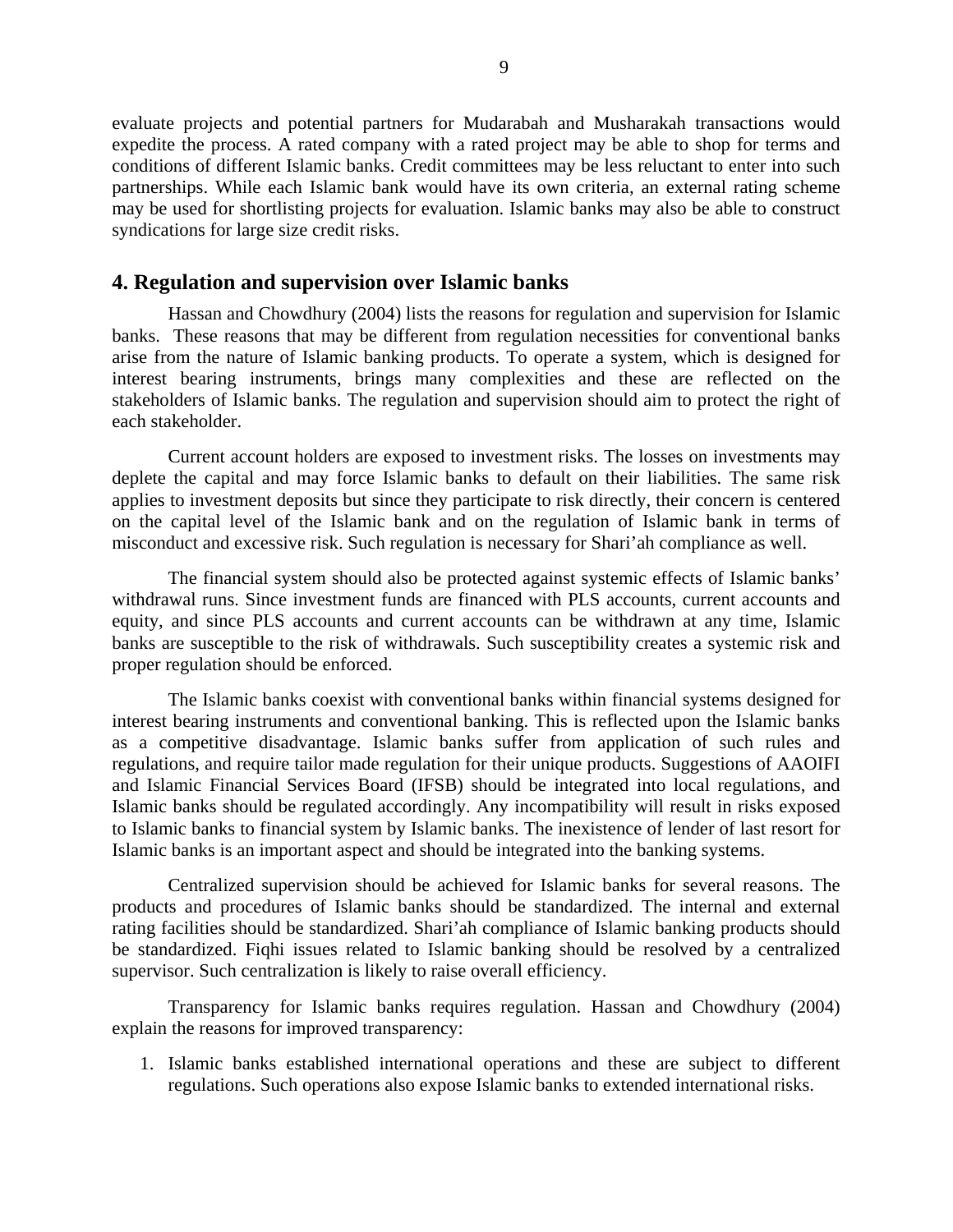evaluate projects and potential partners for Mudarabah and Musharakah transactions would expedite the process. A rated company with a rated project may be able to shop for terms and conditions of different Islamic banks. Credit committees may be less reluctant to enter into such partnerships. While each Islamic bank would have its own criteria, an external rating scheme may be used for shortlisting projects for evaluation. Islamic banks may also be able to construct syndications for large size credit risks.

### **4. Regulation and supervision over Islamic banks**

Hassan and Chowdhury (2004) lists the reasons for regulation and supervision for Islamic banks. These reasons that may be different from regulation necessities for conventional banks arise from the nature of Islamic banking products. To operate a system, which is designed for interest bearing instruments, brings many complexities and these are reflected on the stakeholders of Islamic banks. The regulation and supervision should aim to protect the right of each stakeholder.

Current account holders are exposed to investment risks. The losses on investments may deplete the capital and may force Islamic banks to default on their liabilities. The same risk applies to investment deposits but since they participate to risk directly, their concern is centered on the capital level of the Islamic bank and on the regulation of Islamic bank in terms of misconduct and excessive risk. Such regulation is necessary for Shari'ah compliance as well.

The financial system should also be protected against systemic effects of Islamic banks' withdrawal runs. Since investment funds are financed with PLS accounts, current accounts and equity, and since PLS accounts and current accounts can be withdrawn at any time, Islamic banks are susceptible to the risk of withdrawals. Such susceptibility creates a systemic risk and proper regulation should be enforced.

The Islamic banks coexist with conventional banks within financial systems designed for interest bearing instruments and conventional banking. This is reflected upon the Islamic banks as a competitive disadvantage. Islamic banks suffer from application of such rules and regulations, and require tailor made regulation for their unique products. Suggestions of AAOIFI and Islamic Financial Services Board (IFSB) should be integrated into local regulations, and Islamic banks should be regulated accordingly. Any incompatibility will result in risks exposed to Islamic banks to financial system by Islamic banks. The inexistence of lender of last resort for Islamic banks is an important aspect and should be integrated into the banking systems.

Centralized supervision should be achieved for Islamic banks for several reasons. The products and procedures of Islamic banks should be standardized. The internal and external rating facilities should be standardized. Shari'ah compliance of Islamic banking products should be standardized. Fiqhi issues related to Islamic banking should be resolved by a centralized supervisor. Such centralization is likely to raise overall efficiency.

Transparency for Islamic banks requires regulation. Hassan and Chowdhury (2004) explain the reasons for improved transparency:

1. Islamic banks established international operations and these are subject to different regulations. Such operations also expose Islamic banks to extended international risks.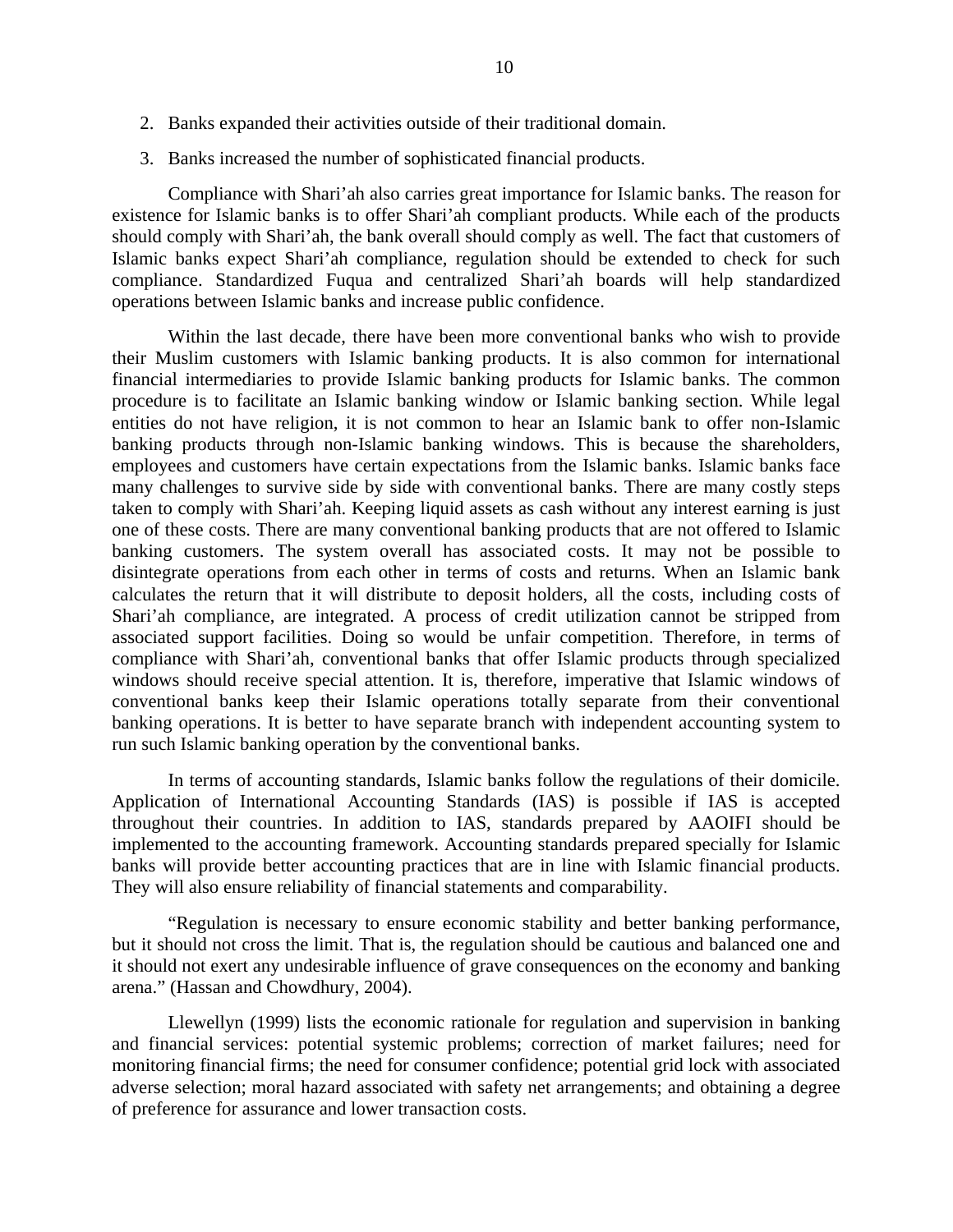- 2. Banks expanded their activities outside of their traditional domain.
- 3. Banks increased the number of sophisticated financial products.

Compliance with Shari'ah also carries great importance for Islamic banks. The reason for existence for Islamic banks is to offer Shari'ah compliant products. While each of the products should comply with Shari'ah, the bank overall should comply as well. The fact that customers of Islamic banks expect Shari'ah compliance, regulation should be extended to check for such compliance. Standardized Fuqua and centralized Shari'ah boards will help standardized operations between Islamic banks and increase public confidence.

Within the last decade, there have been more conventional banks who wish to provide their Muslim customers with Islamic banking products. It is also common for international financial intermediaries to provide Islamic banking products for Islamic banks. The common procedure is to facilitate an Islamic banking window or Islamic banking section. While legal entities do not have religion, it is not common to hear an Islamic bank to offer non-Islamic banking products through non-Islamic banking windows. This is because the shareholders, employees and customers have certain expectations from the Islamic banks. Islamic banks face many challenges to survive side by side with conventional banks. There are many costly steps taken to comply with Shari'ah. Keeping liquid assets as cash without any interest earning is just one of these costs. There are many conventional banking products that are not offered to Islamic banking customers. The system overall has associated costs. It may not be possible to disintegrate operations from each other in terms of costs and returns. When an Islamic bank calculates the return that it will distribute to deposit holders, all the costs, including costs of Shari'ah compliance, are integrated. A process of credit utilization cannot be stripped from associated support facilities. Doing so would be unfair competition. Therefore, in terms of compliance with Shari'ah, conventional banks that offer Islamic products through specialized windows should receive special attention. It is, therefore, imperative that Islamic windows of conventional banks keep their Islamic operations totally separate from their conventional banking operations. It is better to have separate branch with independent accounting system to run such Islamic banking operation by the conventional banks.

In terms of accounting standards, Islamic banks follow the regulations of their domicile. Application of International Accounting Standards (IAS) is possible if IAS is accepted throughout their countries. In addition to IAS, standards prepared by AAOIFI should be implemented to the accounting framework. Accounting standards prepared specially for Islamic banks will provide better accounting practices that are in line with Islamic financial products. They will also ensure reliability of financial statements and comparability.

"Regulation is necessary to ensure economic stability and better banking performance, but it should not cross the limit. That is, the regulation should be cautious and balanced one and it should not exert any undesirable influence of grave consequences on the economy and banking arena." (Hassan and Chowdhury, 2004).

Llewellyn (1999) lists the economic rationale for regulation and supervision in banking and financial services: potential systemic problems; correction of market failures; need for monitoring financial firms; the need for consumer confidence; potential grid lock with associated adverse selection; moral hazard associated with safety net arrangements; and obtaining a degree of preference for assurance and lower transaction costs.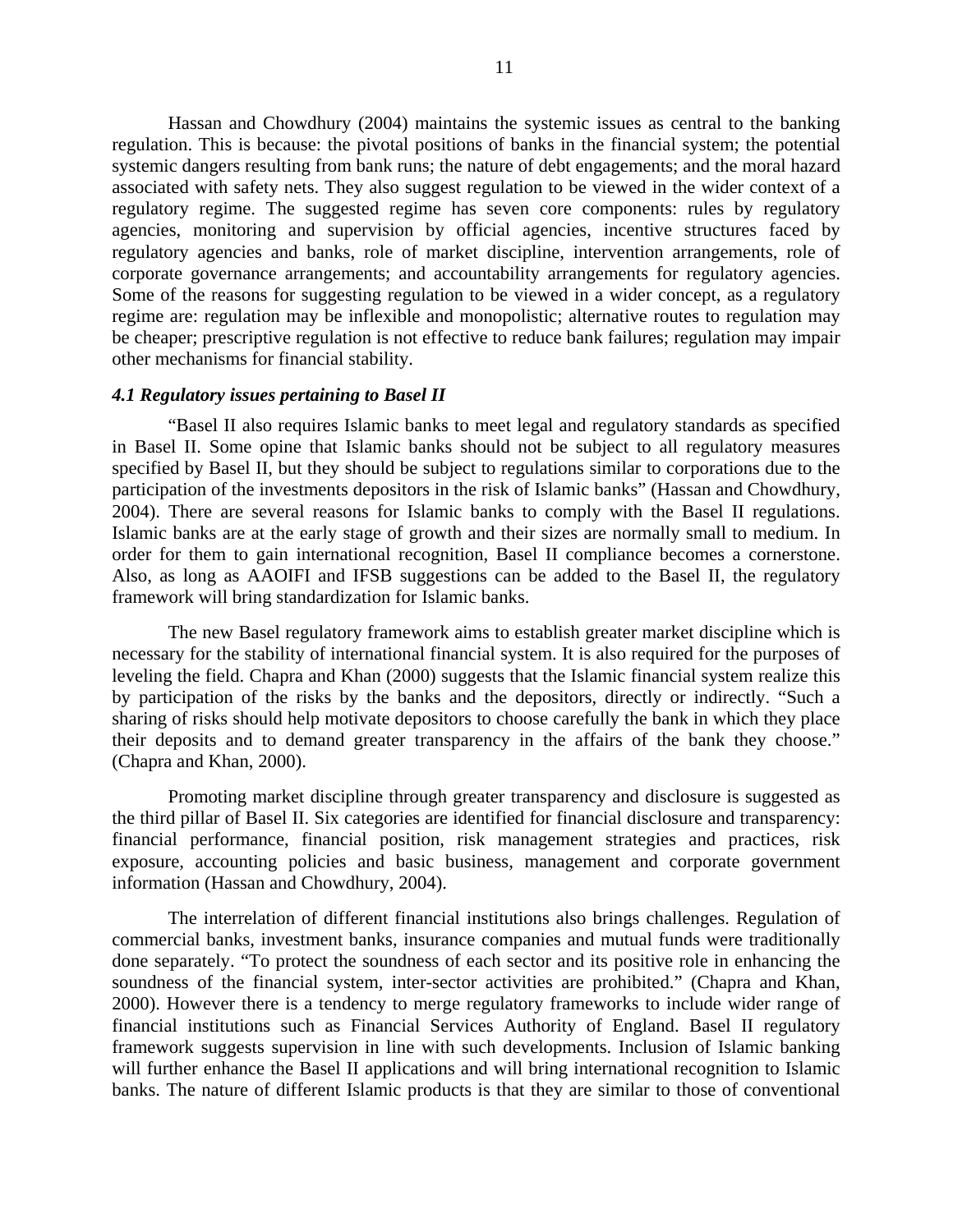Hassan and Chowdhury (2004) maintains the systemic issues as central to the banking regulation. This is because: the pivotal positions of banks in the financial system; the potential systemic dangers resulting from bank runs; the nature of debt engagements; and the moral hazard associated with safety nets. They also suggest regulation to be viewed in the wider context of a regulatory regime. The suggested regime has seven core components: rules by regulatory agencies, monitoring and supervision by official agencies, incentive structures faced by regulatory agencies and banks, role of market discipline, intervention arrangements, role of corporate governance arrangements; and accountability arrangements for regulatory agencies. Some of the reasons for suggesting regulation to be viewed in a wider concept, as a regulatory regime are: regulation may be inflexible and monopolistic; alternative routes to regulation may be cheaper; prescriptive regulation is not effective to reduce bank failures; regulation may impair other mechanisms for financial stability.

#### *4.1 Regulatory issues pertaining to Basel II*

"Basel II also requires Islamic banks to meet legal and regulatory standards as specified in Basel II. Some opine that Islamic banks should not be subject to all regulatory measures specified by Basel II, but they should be subject to regulations similar to corporations due to the participation of the investments depositors in the risk of Islamic banks" (Hassan and Chowdhury, 2004). There are several reasons for Islamic banks to comply with the Basel II regulations. Islamic banks are at the early stage of growth and their sizes are normally small to medium. In order for them to gain international recognition, Basel II compliance becomes a cornerstone. Also, as long as AAOIFI and IFSB suggestions can be added to the Basel II, the regulatory framework will bring standardization for Islamic banks.

The new Basel regulatory framework aims to establish greater market discipline which is necessary for the stability of international financial system. It is also required for the purposes of leveling the field. Chapra and Khan (2000) suggests that the Islamic financial system realize this by participation of the risks by the banks and the depositors, directly or indirectly. "Such a sharing of risks should help motivate depositors to choose carefully the bank in which they place their deposits and to demand greater transparency in the affairs of the bank they choose." (Chapra and Khan, 2000).

Promoting market discipline through greater transparency and disclosure is suggested as the third pillar of Basel II. Six categories are identified for financial disclosure and transparency: financial performance, financial position, risk management strategies and practices, risk exposure, accounting policies and basic business, management and corporate government information (Hassan and Chowdhury, 2004).

The interrelation of different financial institutions also brings challenges. Regulation of commercial banks, investment banks, insurance companies and mutual funds were traditionally done separately. "To protect the soundness of each sector and its positive role in enhancing the soundness of the financial system, inter-sector activities are prohibited." (Chapra and Khan, 2000). However there is a tendency to merge regulatory frameworks to include wider range of financial institutions such as Financial Services Authority of England. Basel II regulatory framework suggests supervision in line with such developments. Inclusion of Islamic banking will further enhance the Basel II applications and will bring international recognition to Islamic banks. The nature of different Islamic products is that they are similar to those of conventional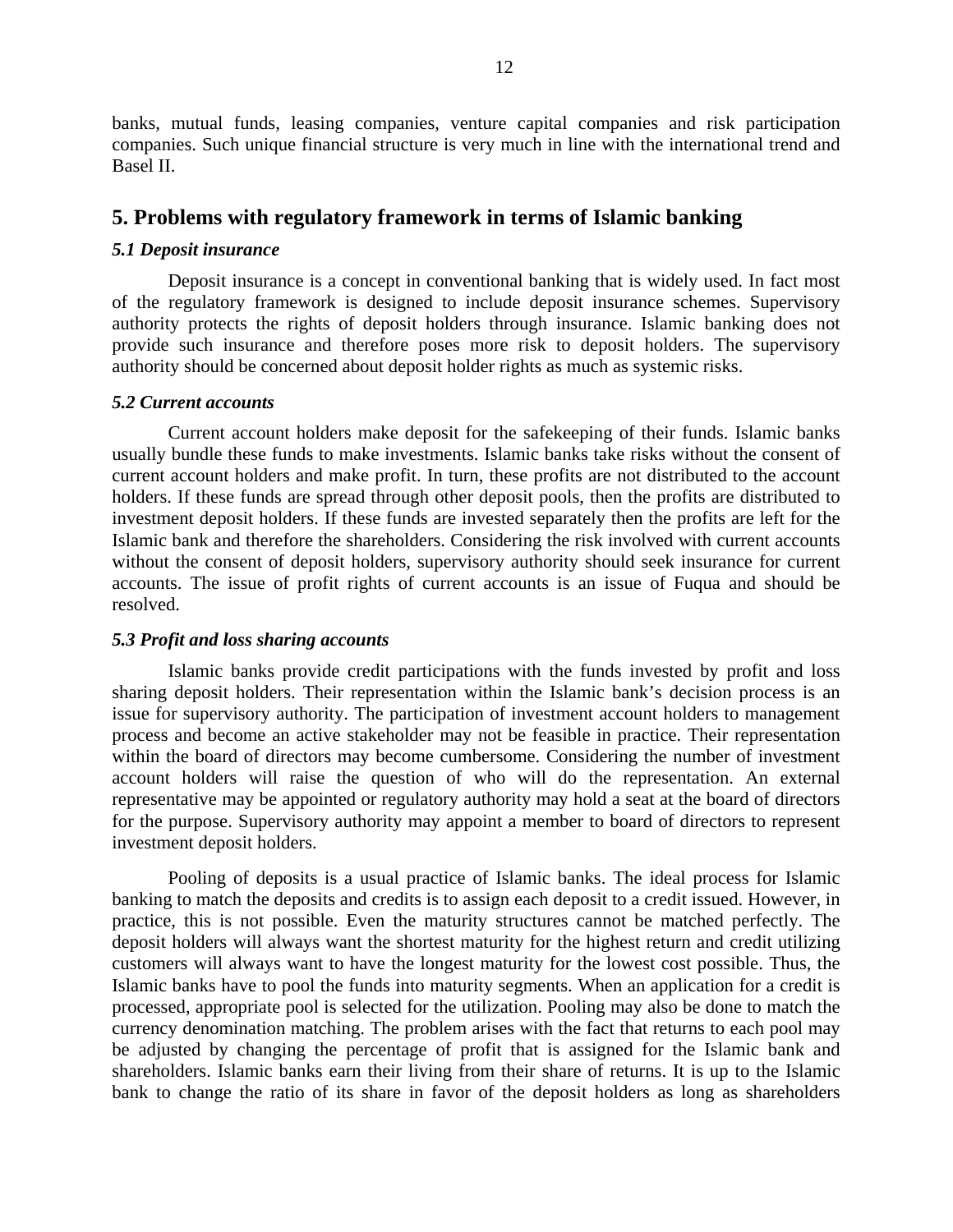banks, mutual funds, leasing companies, venture capital companies and risk participation companies. Such unique financial structure is very much in line with the international trend and Basel II.

# **5. Problems with regulatory framework in terms of Islamic banking**

## *5.1 Deposit insurance*

Deposit insurance is a concept in conventional banking that is widely used. In fact most of the regulatory framework is designed to include deposit insurance schemes. Supervisory authority protects the rights of deposit holders through insurance. Islamic banking does not provide such insurance and therefore poses more risk to deposit holders. The supervisory authority should be concerned about deposit holder rights as much as systemic risks.

### *5.2 Current accounts*

Current account holders make deposit for the safekeeping of their funds. Islamic banks usually bundle these funds to make investments. Islamic banks take risks without the consent of current account holders and make profit. In turn, these profits are not distributed to the account holders. If these funds are spread through other deposit pools, then the profits are distributed to investment deposit holders. If these funds are invested separately then the profits are left for the Islamic bank and therefore the shareholders. Considering the risk involved with current accounts without the consent of deposit holders, supervisory authority should seek insurance for current accounts. The issue of profit rights of current accounts is an issue of Fuqua and should be resolved.

## *5.3 Profit and loss sharing accounts*

Islamic banks provide credit participations with the funds invested by profit and loss sharing deposit holders. Their representation within the Islamic bank's decision process is an issue for supervisory authority. The participation of investment account holders to management process and become an active stakeholder may not be feasible in practice. Their representation within the board of directors may become cumbersome. Considering the number of investment account holders will raise the question of who will do the representation. An external representative may be appointed or regulatory authority may hold a seat at the board of directors for the purpose. Supervisory authority may appoint a member to board of directors to represent investment deposit holders.

Pooling of deposits is a usual practice of Islamic banks. The ideal process for Islamic banking to match the deposits and credits is to assign each deposit to a credit issued. However, in practice, this is not possible. Even the maturity structures cannot be matched perfectly. The deposit holders will always want the shortest maturity for the highest return and credit utilizing customers will always want to have the longest maturity for the lowest cost possible. Thus, the Islamic banks have to pool the funds into maturity segments. When an application for a credit is processed, appropriate pool is selected for the utilization. Pooling may also be done to match the currency denomination matching. The problem arises with the fact that returns to each pool may be adjusted by changing the percentage of profit that is assigned for the Islamic bank and shareholders. Islamic banks earn their living from their share of returns. It is up to the Islamic bank to change the ratio of its share in favor of the deposit holders as long as shareholders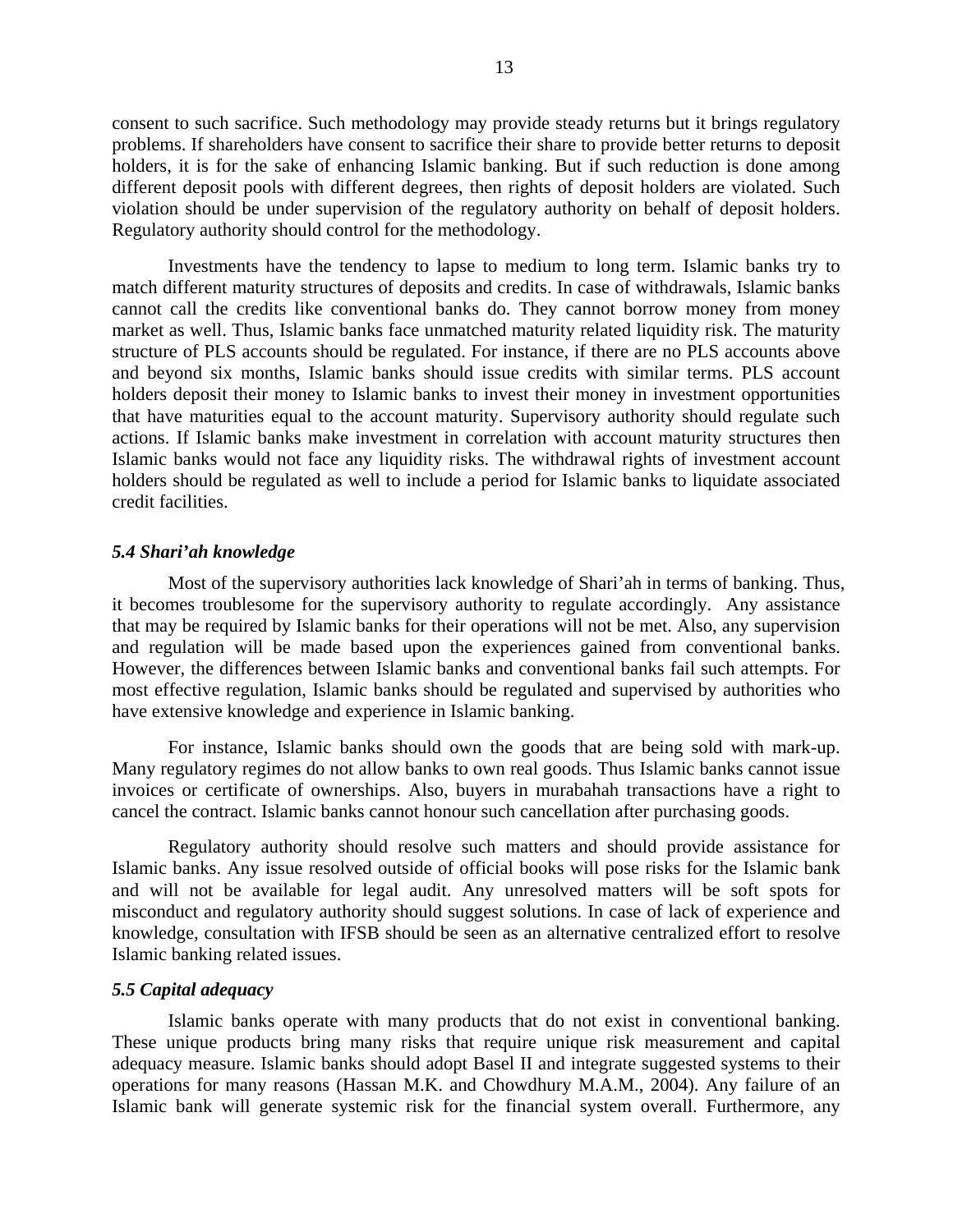consent to such sacrifice. Such methodology may provide steady returns but it brings regulatory problems. If shareholders have consent to sacrifice their share to provide better returns to deposit holders, it is for the sake of enhancing Islamic banking. But if such reduction is done among different deposit pools with different degrees, then rights of deposit holders are violated. Such violation should be under supervision of the regulatory authority on behalf of deposit holders. Regulatory authority should control for the methodology.

Investments have the tendency to lapse to medium to long term. Islamic banks try to match different maturity structures of deposits and credits. In case of withdrawals, Islamic banks cannot call the credits like conventional banks do. They cannot borrow money from money market as well. Thus, Islamic banks face unmatched maturity related liquidity risk. The maturity structure of PLS accounts should be regulated. For instance, if there are no PLS accounts above and beyond six months, Islamic banks should issue credits with similar terms. PLS account holders deposit their money to Islamic banks to invest their money in investment opportunities that have maturities equal to the account maturity. Supervisory authority should regulate such actions. If Islamic banks make investment in correlation with account maturity structures then Islamic banks would not face any liquidity risks. The withdrawal rights of investment account holders should be regulated as well to include a period for Islamic banks to liquidate associated credit facilities.

#### *5.4 Shari'ah knowledge*

Most of the supervisory authorities lack knowledge of Shari'ah in terms of banking. Thus, it becomes troublesome for the supervisory authority to regulate accordingly. Any assistance that may be required by Islamic banks for their operations will not be met. Also, any supervision and regulation will be made based upon the experiences gained from conventional banks. However, the differences between Islamic banks and conventional banks fail such attempts. For most effective regulation, Islamic banks should be regulated and supervised by authorities who have extensive knowledge and experience in Islamic banking.

For instance, Islamic banks should own the goods that are being sold with mark-up. Many regulatory regimes do not allow banks to own real goods. Thus Islamic banks cannot issue invoices or certificate of ownerships. Also, buyers in murabahah transactions have a right to cancel the contract. Islamic banks cannot honour such cancellation after purchasing goods.

Regulatory authority should resolve such matters and should provide assistance for Islamic banks. Any issue resolved outside of official books will pose risks for the Islamic bank and will not be available for legal audit. Any unresolved matters will be soft spots for misconduct and regulatory authority should suggest solutions. In case of lack of experience and knowledge, consultation with IFSB should be seen as an alternative centralized effort to resolve Islamic banking related issues.

#### *5.5 Capital adequacy*

Islamic banks operate with many products that do not exist in conventional banking. These unique products bring many risks that require unique risk measurement and capital adequacy measure. Islamic banks should adopt Basel II and integrate suggested systems to their operations for many reasons (Hassan M.K. and Chowdhury M.A.M., 2004). Any failure of an Islamic bank will generate systemic risk for the financial system overall. Furthermore, any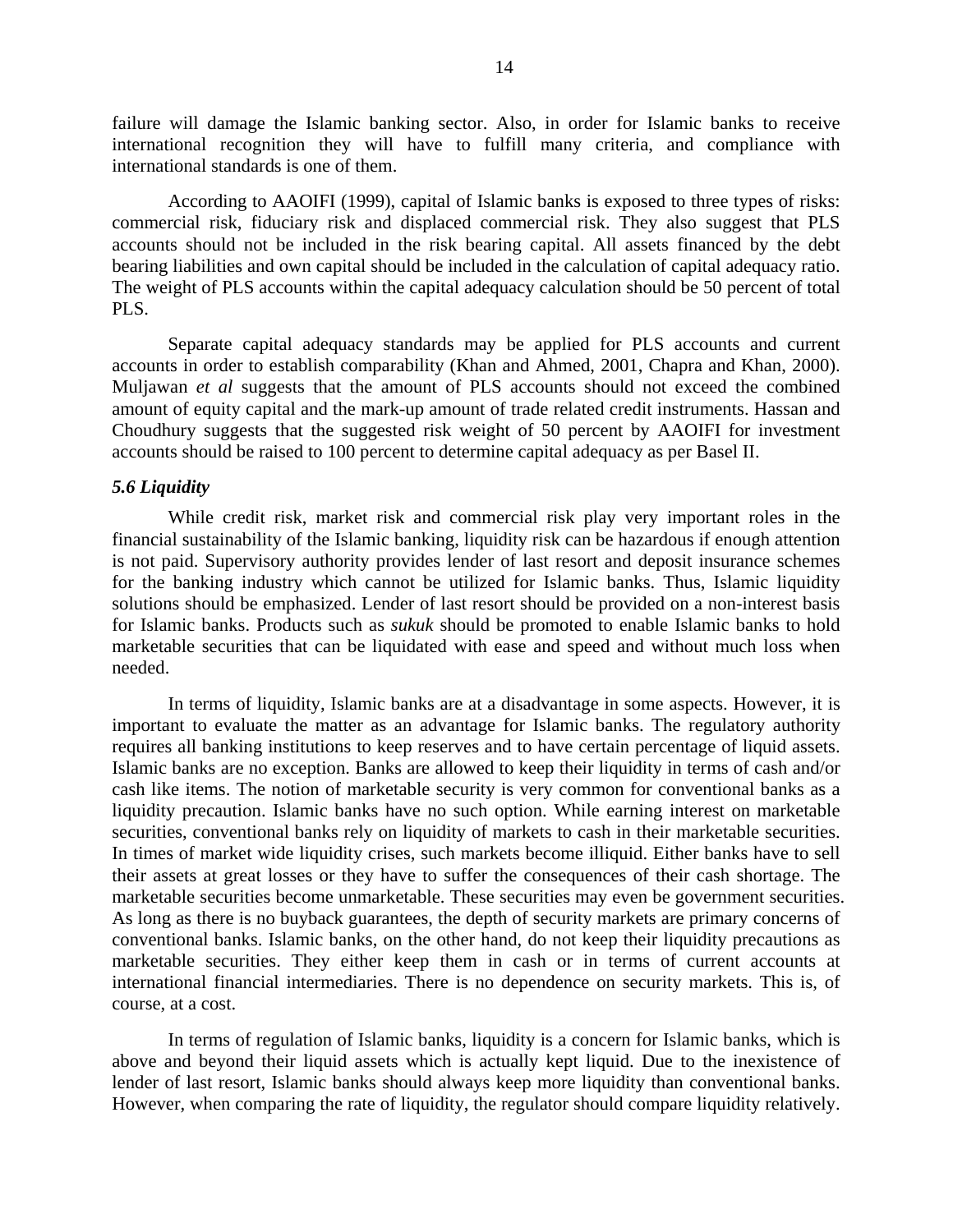failure will damage the Islamic banking sector. Also, in order for Islamic banks to receive international recognition they will have to fulfill many criteria, and compliance with international standards is one of them.

According to AAOIFI (1999), capital of Islamic banks is exposed to three types of risks: commercial risk, fiduciary risk and displaced commercial risk. They also suggest that PLS accounts should not be included in the risk bearing capital. All assets financed by the debt bearing liabilities and own capital should be included in the calculation of capital adequacy ratio. The weight of PLS accounts within the capital adequacy calculation should be 50 percent of total PLS.

Separate capital adequacy standards may be applied for PLS accounts and current accounts in order to establish comparability (Khan and Ahmed, 2001, Chapra and Khan, 2000). Muljawan *et al* suggests that the amount of PLS accounts should not exceed the combined amount of equity capital and the mark-up amount of trade related credit instruments. Hassan and Choudhury suggests that the suggested risk weight of 50 percent by AAOIFI for investment accounts should be raised to 100 percent to determine capital adequacy as per Basel II.

### *5.6 Liquidity*

While credit risk, market risk and commercial risk play very important roles in the financial sustainability of the Islamic banking, liquidity risk can be hazardous if enough attention is not paid. Supervisory authority provides lender of last resort and deposit insurance schemes for the banking industry which cannot be utilized for Islamic banks. Thus, Islamic liquidity solutions should be emphasized. Lender of last resort should be provided on a non-interest basis for Islamic banks. Products such as *sukuk* should be promoted to enable Islamic banks to hold marketable securities that can be liquidated with ease and speed and without much loss when needed.

In terms of liquidity, Islamic banks are at a disadvantage in some aspects. However, it is important to evaluate the matter as an advantage for Islamic banks. The regulatory authority requires all banking institutions to keep reserves and to have certain percentage of liquid assets. Islamic banks are no exception. Banks are allowed to keep their liquidity in terms of cash and/or cash like items. The notion of marketable security is very common for conventional banks as a liquidity precaution. Islamic banks have no such option. While earning interest on marketable securities, conventional banks rely on liquidity of markets to cash in their marketable securities. In times of market wide liquidity crises, such markets become illiquid. Either banks have to sell their assets at great losses or they have to suffer the consequences of their cash shortage. The marketable securities become unmarketable. These securities may even be government securities. As long as there is no buyback guarantees, the depth of security markets are primary concerns of conventional banks. Islamic banks, on the other hand, do not keep their liquidity precautions as marketable securities. They either keep them in cash or in terms of current accounts at international financial intermediaries. There is no dependence on security markets. This is, of course, at a cost.

In terms of regulation of Islamic banks, liquidity is a concern for Islamic banks, which is above and beyond their liquid assets which is actually kept liquid. Due to the inexistence of lender of last resort, Islamic banks should always keep more liquidity than conventional banks. However, when comparing the rate of liquidity, the regulator should compare liquidity relatively.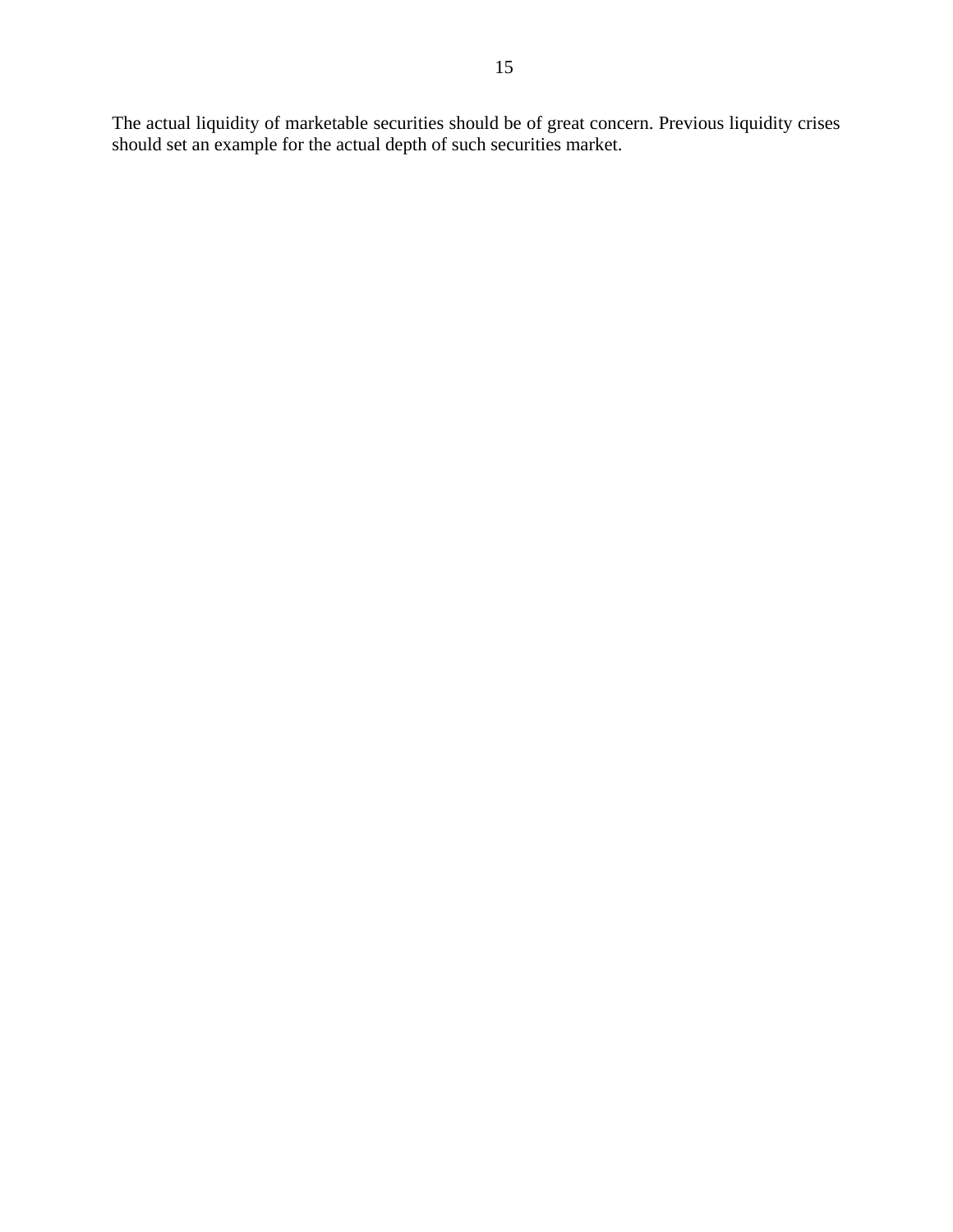The actual liquidity of marketable securities should be of great concern. Previous liquidity crises should set an example for the actual depth of such securities market.